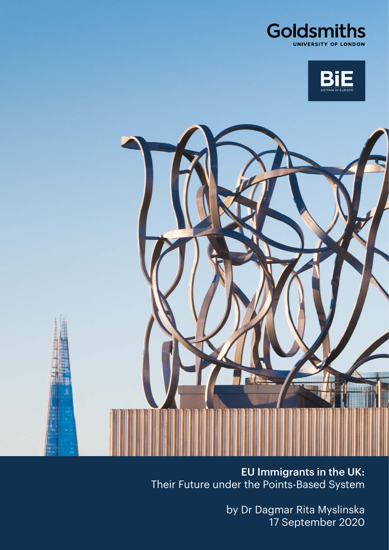





EU Immigrants in the UK: Their Future under the Points-Based System

> by Dr Dagmar Rita Myslinska 17 September 2020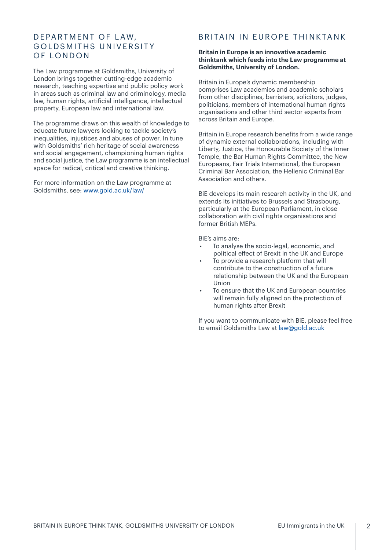# DEPARTMENT OF LAW, GOI D SMITHS UNIVERSITY OF LONDON

The Law programme at Goldsmiths, University of London brings together cutting-edge academic research, teaching expertise and public policy work in areas such as criminal law and criminology, media law, human rights, artificial intelligence, intellectual property, European law and international law.

The programme draws on this wealth of knowledge to educate future lawyers looking to tackle society's inequalities, injustices and abuses of power. In tune with Goldsmiths' rich heritage of social awareness and social engagement, championing human rights and social justice, the Law programme is an intellectual space for radical, critical and creative thinking.

For more information on the Law programme at Goldsmiths, see: [www.gold.ac.uk/law/](https://www.gold.ac.uk/law/)

# BRITAIN IN EUROPE THINKTANK

#### **Britain in Europe is an innovative academic thinktank which feeds into the Law programme at Goldsmiths, University of London.**

Britain in Europe's dynamic membership comprises Law academics and academic scholars from other disciplines, barristers, solicitors, judges, politicians, members of international human rights organisations and other third sector experts from across Britain and Europe.

Britain in Europe research benefits from a wide range of dynamic external collaborations, including with Liberty, Justice, the Honourable Society of the Inner Temple, the Bar Human Rights Committee, the New Europeans, Fair Trials International, the European Criminal Bar Association, the Hellenic Criminal Bar Association and others.

BiE develops its main research activity in the UK, and extends its initiatives to Brussels and Strasbourg, particularly at the European Parliament, in close collaboration with civil rights organisations and former British MEPs.

BiE's aims are:

- To analyse the socio-legal, economic, and political efect of Brexit in the UK and Europe
- To provide a research platform that will contribute to the construction of a future relationship between the UK and the European Union
- To ensure that the UK and European countries will remain fully aligned on the protection of human rights after Brexit

If you want to communicate with BiE, please feel free to email Goldsmiths Law at [law@gold.ac.uk](mailto:law%40gold.ac.uk?subject=)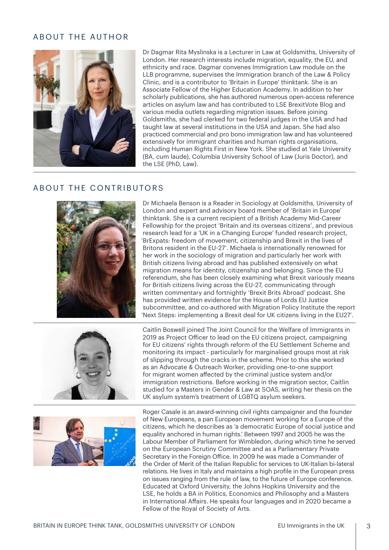# ABOUT THE AUTHOR



Dr Dagmar Rita Myslinska is a Lecturer in Law at Goldsmiths, University of London. Her research interests include migration, equality, the EU, and ethnicity and race. Dagmar convenes Immigration Law module on the LLB programme, supervises the Immigration branch of the Law & Policy Clinic, and is a contributor to 'Britain in Europe' thinktank. She is an Associate Fellow of the Higher Education Academy. In addition to her scholarly publications, she has authored numerous open-access reference articles on asylum law and has contributed to LSE BrexitVote Blog and various media outlets regarding migration issues. Before joining Goldsmiths, she had clerked for two federal judges in the USA and had taught law at several institutions in the USA and Japan. She had also practiced commercial and pro bono immigration law and has volunteered extensively for immigrant charities and human rights organisations, including Human Rights First in New York. She studied at Yale University (BA, cum laude), Columbia University School of Law (Juris Doctor), and the LSE (PhD, Law).

#### ABOUT THE CONTRIBUTORS



Dr Michaela Benson is a Reader in Sociology at Goldsmiths, University of London and expert and advisory board member of 'Britain in Europe' thinktank. She is a current recipient of a British Academy Mid-Career Fellowship for the project 'Britain and its overseas citizens', and previous research lead for a 'UK in a Changing Europe' funded research project, 'BrExpats: freedom of movement, citizenship and Brexit in the lives of Britons resident in the EU-27'. Michaela is internationally renowned for her work in the sociology of migration and particularly her work with British citizens living abroad and has published extensively on what migration means for identity, citizenship and belonging. Since the EU referendum, she has been closely examining what Brexit variously means for British citizens living across the EU-27, communicating through written commentary and fortnightly 'Brexit Brits Abroad' podcast. She has provided written evidence for the House of Lords EU Justice subcommittee, and co-authored with Migration Policy Institute the report 'Next Steps: implementing a Brexit deal for UK citizens living in the EU27'.



Caitlin Boswell joined The Joint Council for the Welfare of Immigrants in 2019 as Project Oficer to lead on the EU citizens project, campaigning for EU citizens' rights through reform of the EU Settlement Scheme and monitoring its impact - particularly for marginalised groups most at risk of slipping through the cracks in the scheme. Prior to this she worked as an Advocate & Outreach Worker, providing one-to-one support for migrant women afected by the criminal justice system and/or immigration restrictions. Before working in the migration sector, Caitlin studied for a Masters in Gender & Law at SOAS, writing her thesis on the UK asylum system's treatment of LGBTQ asylum seekers.



Roger Casale is an award-winning civil rights campaigner and the founder of New Europeans, a pan European movement working for a Europe of the citizens, which he describes as 'a democratic Europe of social justice and equality anchored in human rights.' Between 1997 and 2005 he was the Labour Member of Parliament for Wimbledon, during which time he served on the European Scrutiny Committee and as a Parliamentary Private Secretary in the Foreign Office. In 2009 he was made a Commander of the Order of Merit of the Italian Republic for services to UK-Italian bi-lateral relations. He lives in Italy and maintains a high profile in the European press on issues ranging from the rule of law, to the future of Europe conference. Educated at Oxford University, the Johns Hopkins University and the LSE, he holds a BA in Politics, Economics and Philosophy and a Masters in International Afairs. He speaks four languages and in 2020 became a Fellow of the Royal of Society of Arts.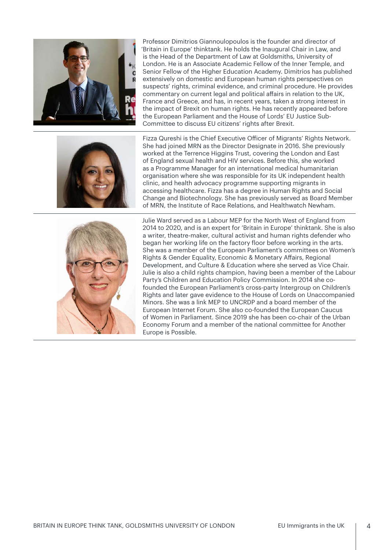

Professor Dimitrios Giannoulopoulos is the founder and director of 'Britain in Europe' thinktank. He holds the Inaugural Chair in Law, and is the Head of the Department of Law at Goldsmiths, University of London. He is an Associate Academic Fellow of the Inner Temple, and Senior Fellow of the Higher Education Academy. Dimitrios has published extensively on domestic and European human rights perspectives on suspects' rights, criminal evidence, and criminal procedure. He provides commentary on current legal and political afairs in relation to the UK, France and Greece, and has, in recent years, taken a strong interest in the impact of Brexit on human rights. He has recently appeared before the European Parliament and the House of Lords' EU Justice Sub-Committee to discuss EU citizens' rights after Brexit.



Fizza Qureshi is the Chief Executive Oficer of Migrants' Rights Network. She had joined MRN as the Director Designate in 2016. She previously worked at the Terrence Higgins Trust, covering the London and East of England sexual health and HIV services. Before this, she worked as a Programme Manager for an international medical humanitarian organisation where she was responsible for its UK independent health clinic, and health advocacy programme supporting migrants in accessing healthcare. Fizza has a degree in Human Rights and Social Change and Biotechnology. She has previously served as Board Member of MRN, the Institute of Race Relations, and Healthwatch Newham.



Julie Ward served as a Labour MEP for the North West of England from 2014 to 2020, and is an expert for 'Britain in Europe' thinktank. She is also a writer, theatre-maker, cultural activist and human rights defender who began her working life on the factory floor before working in the arts. She was a member of the European Parliament's committees on Women's Rights & Gender Equality, Economic & Monetary Afairs, Regional Development, and Culture & Education where she served as Vice Chair. Julie is also a child rights champion, having been a member of the Labour Party's Children and Education Policy Commission. In 2014 she cofounded the European Parliament's cross-party Intergroup on Children's Rights and later gave evidence to the House of Lords on Unaccompanied Minors. She was a link MEP to UNCRDP and a board member of the European Internet Forum. She also co-founded the European Caucus of Women in Parliament. Since 2019 she has been co-chair of the Urban Economy Forum and a member of the national committee for Another Europe is Possible.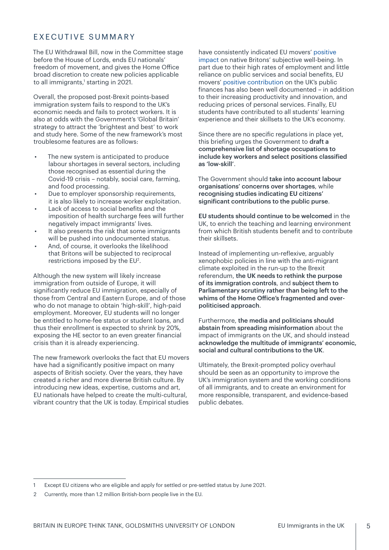# EXECUTIVE SUMMARY

The EU Withdrawal Bill, now in the Committee stage before the House of Lords, ends EU nationals' freedom of movement, and gives the Home Ofice broad discretion to create new policies applicable to all immigrants,<sup>1</sup> starting in 2021.

Overall, the proposed post-Brexit points-based immigration system fails to respond to the UK's economic needs and fails to protect workers. It is also at odds with the Government's 'Global Britain' strategy to attract the 'brightest and best' to work and study here. Some of the new framework's most troublesome features are as follows:

- The new system is anticipated to produce labour shortages in several sectors, including those recognised as essential during the Covid-19 crisis – notably, social care, farming, and food processing.
- Due to employer sponsorship requirements, it is also likely to increase worker exploitation.
- Lack of access to social benefits and the imposition of health surcharge fees will further negatively impact immigrants' lives.
- It also presents the risk that some immigrants will be pushed into undocumented status.
- And, of course, it overlooks the likelihood that Britons will be subjected to reciprocal restrictions imposed by the  $EU^2$ .

Although the new system will likely increase immigration from outside of Europe, it will significantly reduce EU immigration, especially of those from Central and Eastern Europe, and of those who do not manage to obtain 'high-skill', high-paid employment. Moreover, EU students will no longer be entitled to home-fee status or student loans, and thus their enrollment is expected to shrink by 20%, exposing the HE sector to an even greater financial crisis than it is already experiencing.

The new framework overlooks the fact that EU movers have had a significantly positive impact on many aspects of British society. Over the years, they have created a richer and more diverse British culture. By introducing new ideas, expertise, customs and art, EU nationals have helped to create the multi-cultural, vibrant country that the UK is today. Empirical studies have consistently indicated EU movers' [positive](https://assets.publishing.service.gov.uk/government/uploads/system/uploads/attachment_data/file/740985/Giulietti__2018_.pdf)  [impact](https://assets.publishing.service.gov.uk/government/uploads/system/uploads/attachment_data/file/740985/Giulietti__2018_.pdf) on native Britons' subjective well-being. In part due to their high rates of employment and little reliance on public services and social benefits, EU movers' [positive contribution](https://assets.publishing.service.gov.uk/government/uploads/system/uploads/attachment_data/file/741926/Final_EEA_report.PDF) on the UK's public finances has also been well documented – in addition to their increasing productivity and innovation, and reducing prices of personal services. Finally, EU students have contributed to all students' learning experience and their skillsets to the UK's economy.

Since there are no specific regulations in place yet, this briefing urges the Government to draft a comprehensive list of shortage occupations to include key workers and select positions classified as 'low-skill'.

The Government should take into account labour organisations' concerns over shortages, while recognising studies indicating EU citizens' significant contributions to the public purse.

EU students should continue to be welcomed in the UK, to enrich the teaching and learning environment from which British students benefit and to contribute their skillsets.

Instead of implementing un-reflexive, arguably xenophobic policies in line with the anti-migrant climate exploited in the run-up to the Brexit referendum, the UK needs to rethink the purpose of its immigration controls, and subject them to Parliamentary scrutiny rather than being left to the whims of the Home Ofice's fragmented and overpoliticised approach.

Furthermore, the media and politicians should abstain from spreading misinformation about the impact of immigrants on the UK, and should instead acknowledge the multitude of immigrants' economic, social and cultural contributions to the UK.

Ultimately, the Brexit-prompted policy overhaul should be seen as an opportunity to improve the UK's immigration system and the working conditions of all immigrants, and to create an environment for more responsible, transparent, and evidence-based public debates.

<sup>1</sup> Except EU citizens who are eligible and apply for settled or pre-settled status by June 2021.

<sup>2</sup> Currently, more than 1.2 million British-born people live in the EU.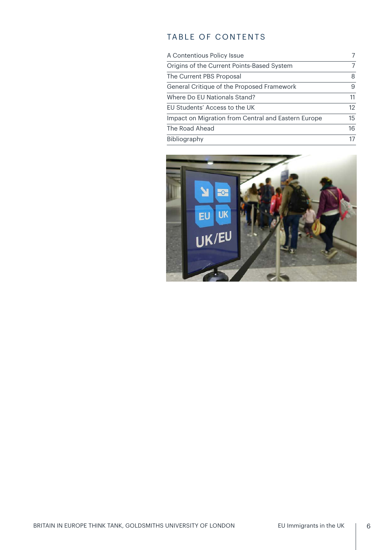# TABLE OF CONTENTS

| A Contentious Policy Issue                          | 7  |
|-----------------------------------------------------|----|
| Origins of the Current Points-Based System          | 7  |
| The Current PBS Proposal                            | 8  |
| General Critique of the Proposed Framework          | 9  |
| Where Do EU Nationals Stand?                        | 11 |
| EU Students' Access to the UK                       | 12 |
| Impact on Migration from Central and Eastern Europe | 15 |
| The Road Ahead                                      | 16 |
| Bibliography                                        | 17 |

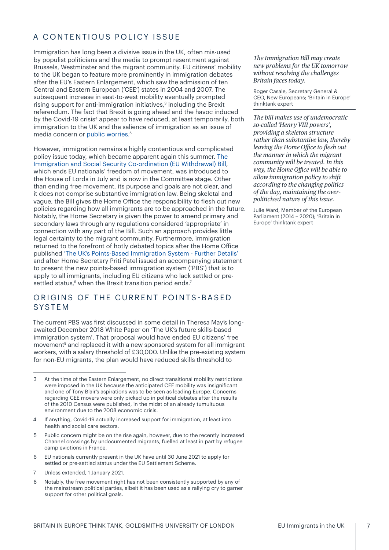# <span id="page-6-0"></span>A CONTENTIOUS POLICY ISSUE

Immigration has long been a divisive issue in the UK, often mis-used by populist politicians and the media to prompt resentment against Brussels, Westminster and the migrant community. EU citizens' mobility to the UK began to feature more prominently in immigration debates after the EU's Eastern Enlargement, which saw the admission of ten Central and Eastern European ('CEE') states in 2004 and 2007. The subsequent increase in east-to-west mobility eventually prompted rising support for anti-immigration initiatives, $3$  including the Brexit referendum. The fact that Brexit is going ahead and the havoc induced by the Covid-19 crisis<sup>4</sup> appear to have reduced, at least temporarily, both immigration to the UK and the salience of immigration as an issue of media concern or [public worries.](https://yougov.co.uk/topics/politics/trackers/the-most-important-issues-facing-the-country) 5

However, immigration remains a highly contentious and complicated policy issue today, which became apparent again this summer. The [Immigration and Social Security Co-ordination \(EU Withdrawal\) Bill](https://services.parliament.uk/Bills/2019-21/immigrationandsocialsecuritycoordinationeuwithdrawal/documents.html), which ends EU nationals' freedom of movement, was introduced to the House of Lords in July and is now in the Committee stage. Other than ending free movement, its purpose and goals are not clear, and it does not comprise substantive immigration law. Being skeletal and vague, the Bill gives the Home Ofice the responsibility to flesh out new policies regarding how all immigrants are to be approached in the future. Notably, the Home Secretary is given the power to amend primary and secondary laws through any regulations considered 'appropriate' in connection with any part of the Bill. Such an approach provides little legal certainty to the migrant community. Furthermore, immigration returned to the forefront of hotly debated topics after the Home Ofice published ['The UK's Points-Based Immigration System - Further Details'](https://assets.publishing.service.gov.uk/government/uploads/system/uploads/attachment_data/file/899716/UK_Points-Based_Immigration_System_Further_Details.pdf) and after Home Secretary Priti Patel issued an accompanying statement to present the new points-based immigration system ('PBS') that is to apply to all immigrants, including EU citizens who lack settled or presettled status, $6$  when the Brexit transition period ends.<sup>7</sup>

# ORIGINS OF THE CURRENT POINTS-BASED SYSTEM

The current PBS was first discussed in some detail in Theresa May's longawaited December 2018 [White Paper](https://assets.publishing.service.gov.uk/government/uploads/system/uploads/attachment_data/file/766465/The-UKs-future-skills-based-immigration-system-print-ready.pdf) on 'The UK's future skills-based immigration system'. That proposal would have ended EU citizens' free movement<sup>8</sup> and replaced it with a new sponsored system for all immigrant workers, with a salary threshold of £30,000. Unlike the pre-existing system for non-EU migrants, the plan would have reduced skills threshold to

- 4 If anything, Covid-19 actually increased support for immigration, at least into health and social care sectors.
- 5 Public concern might be on the rise again, however, due to the recently increased Channel crossings by undocumented migrants, fuelled at least in part by refugee camp evictions in France.
- 6 EU nationals currently present in the UK have until 30 June 2021 to apply for settled or pre-settled status under the EU Settlement Scheme.
- 7 Unless extended, 1 January 2021.
- 8 Notably, the free movement right has not been consistently supported by any of the mainstream political parties, albeit it has been used as a rallying cry to garner support for other political goals.

*The Immigration Bill may create new problems for the UK tomorrow without resolving the challenges Britain faces today.*

Roger Casale, Secretary General & CEO, New Europeans; 'Britain in Europe' thinktank expert

*The bill makes use of undemocratic so-called 'Henry VIII powers', providing a skeleton structure rather than substantive law, thereby leaving the Home Ofce to fesh out the manner in which the migrant community will be treated. In this way, the Home Ofce will be able to allow immigration policy to shift according to the changing politics of the day, maintaining the overpoliticised nature of this issue.*

Julie Ward, Member of the European Parliament (2014 – 2020); 'Britain in Europe' thinktank expert

<sup>3</sup> At the time of the Eastern Enlargement, no direct transitional mobility restrictions were imposed in the UK because the anticipated CEE mobility was insignificant and one of Tony Blair's aspirations was to be seen as leading Europe. Concerns regarding CEE movers were only picked up in political debates after the results of the 2010 Census were published, in the midst of an already tumultuous environment due to the 2008 economic crisis.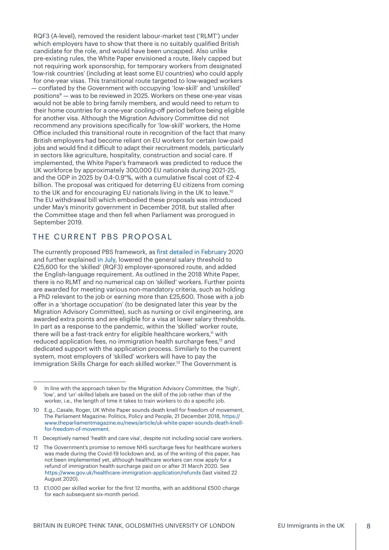<span id="page-7-0"></span>RQF3 (A-level), removed the resident labour-market test ('RLMT') under which employers have to show that there is no suitably qualified British candidate for the role, and would have been uncapped. Also unlike pre-existing rules, the White Paper envisioned a route, likely capped but not requiring work sponsorship, for temporary workers from designated 'low-risk countries' (including at least some EU countries) who could apply for one-year visas. This transitional route targeted to low-waged workers — conflated by the Government with occupying 'low-skill' and 'unskilled' positions9 — was to be reviewed in 2025. Workers on these one-year visas would not be able to bring family members, and would need to return to their home countries for a one-year cooling-off period before being eligible for another visa. Although the Migration Advisory Committee did not recommend any provisions specifically for 'low-skill' workers, the Home Ofice included this transitional route in recognition of the fact that many British employers had become reliant on EU workers for certain low-paid jobs and would find it dificult to adapt their recruitment models, particularly in sectors like agriculture, hospitality, construction and social care. If implemented, the White Paper's framework was predicted to reduce the UK workforce by approximately 300,000 EU nationals during 2021-25, and the GDP in 2025 by 0.4-0.9″%, with a cumulative fiscal cost of £2-4 billion. The proposal was critiqued for deterring EU citizens from coming to the UK and for encouraging EU nationals living in the UK to leave.<sup>10</sup> The EU withdrawal bill which embodied these proposals was introduced under May's minority government in December 2018, but stalled after the Committee stage and then fell when Parliament was prorogued in September 2019.

#### THE CURRENT PBS PROPOSAL

The currently proposed PBS framework, as first [detailed in February](https://www.gov.uk/government/publications/the-uks-points-based-immigration-system-policy-statement/the-uks-points-based-immigration-system-policy-statement) 2020 and further explained [in July](https://assets.publishing.service.gov.uk/government/uploads/system/uploads/attachment_data/file/899716/UK_Points-Based_Immigration_System_Further_Details.pdf), lowered the general salary threshold to £25,600 for the 'skilled' (RQF3) employer-sponsored route, and added the English-language requirement. As outlined in the 2018 White Paper, there is no RLMT and no numerical cap on 'skilled' workers. Further points are awarded for meeting various non-mandatory criteria, such as holding a PhD relevant to the job or earning more than £25,600. Those with a job ofer in a 'shortage occupation' (to be designated later this year by the Migration Advisory Committee), such as nursing or civil engineering, are awarded extra points and are eligible for a visa at lower salary thresholds. In part as a response to the pandemic, within the 'skilled' worker route, there will be a fast-track entry for eligible healthcare workers,<sup>11</sup> with reduced application fees, no immigration health surcharge fees,<sup>12</sup> and dedicated support with the application process. Similarly to the current system, most employers of 'skilled' workers will have to pay the Immigration Skills Charge for each skilled worker.13 The Government is

<sup>9</sup> In line with the approach taken by the Migration Advisory Committee, the 'high', 'low', and 'un'-skilled labels are based on the skill of the job rather than of the worker, i.e., the length of time it takes to train workers to do a specific job.

<sup>10</sup> E.g., Casale, Roger, UK White Paper sounds death knell for freedom of movement, The Parliament Magazine: Politics, Policy and People, 21 December 2018, [https://](https://www.theparliamentmagazine.eu/news/article/uk-white-paper-sounds-death-knell-for-freedom-of-movement) [www.theparliamentmagazine.eu/news/article/uk-white-paper-sounds-death-knell](https://www.theparliamentmagazine.eu/news/article/uk-white-paper-sounds-death-knell-for-freedom-of-movement)[for-freedom-of-movement](https://www.theparliamentmagazine.eu/news/article/uk-white-paper-sounds-death-knell-for-freedom-of-movement).

<sup>11</sup> Deceptively named 'health and care visa', despite not including social care workers.

<sup>12</sup> The Government's promise to remove NHS surcharge fees for healthcare workers was made during the Covid-19 lockdown and, as of the writing of this paper, has not been implemented yet, although healthcare workers can now apply for a refund of immigration health surcharge paid on or after 31 March 2020. See <https://www.gov.uk/healthcare-immigration-application/refunds> (last visited 22 August 2020).

<sup>13</sup> £1,000 per skilled worker for the first 12 months, with an additional £500 charge for each subsequent six-month period.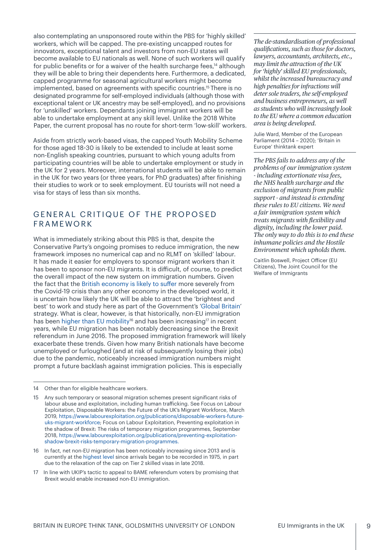<span id="page-8-0"></span>also contemplating an unsponsored route within the PBS for 'highly skilled' workers, which will be capped. The pre-existing uncapped routes for innovators, exceptional talent and investors from non-EU states will become available to EU nationals as well. None of such workers will qualify for public benefits or for a waiver of the health surcharge fees,<sup>14</sup> although they will be able to bring their dependents here. Furthermore, a dedicated, capped programme for seasonal agricultural workers might become implemented, based on agreements with specific countries.15 There is no designated programme for self-employed individuals (although those with exceptional talent or UK ancestry may be self-employed), and no provisions for 'unskilled' workers. Dependants joining immigrant workers will be able to undertake employment at any skill level. Unlike the 2018 White Paper, the current proposal has no route for short-term 'low-skill' workers.

Aside from strictly work-based visas, the capped Youth Mobility Scheme for those aged 18-30 is likely to be extended to include at least some non-English speaking countries, pursuant to which young adults from participating countries will be able to undertake employment or study in the UK for 2 years. Moreover, international students will be able to remain in the UK for two years (or three years, for PhD graduates) after finishing their studies to work or to seek employment. EU tourists will not need a visa for stays of less than six months.

# GENERAL CRITIQUE OF THE PROPOSED FRAMEWORK

What is immediately striking about this PBS is that, despite the Conservative Party's ongoing promises to reduce immigration, the new framework imposes no numerical cap and no RLMT on 'skilled' labour. It has made it easier for employers to sponsor migrant workers than it has been to sponsor non-EU migrants. It is dificult, of course, to predict the overall impact of the new system on immigration numbers. Given the fact that the [British economy is likely to su](https://www.theguardian.com/business/2020/may/13/uk-economy-shrank-2-in-first-quarter-record-monthly-plunge-ons-cfovid-19-lockdown-gdp)fer more severely from the Covid-19 crisis than any other economy in the developed world, it is uncertain how likely the UK will be able to attract the 'brightest and best' to work and study here as part of the Government's ['Global Britain'](https://www.gov.uk/government/collections/global-britain-delivering-on-our-international-ambition) strategy. What is clear, however, is that historically, non-EU immigration has been [higher than EU mobility](https://migrationobservatory.ox.ac.uk/resources/briefings/long-term-international-migration-flows-to-and-from-the-uk/)<sup>16</sup> and has been increasing<sup>17</sup> in recent years, while EU migration has been notably decreasing since the Brexit referendum in June 2016. The proposed immigration framework will likely exacerbate these trends. Given how many British nationals have become unemployed or furloughed (and at risk of subsequently losing their jobs) due to the pandemic, noticeably increased immigration numbers might prompt a future backlash against immigration policies. This is especially

*The de-standardisation of professional qualifcations, such as those for doctors, lawyers, accountants, architects, etc., may limit the attraction of the UK for 'highly' skilled EU professionals, whilst the increased bureaucracy and high penalties for infractions will deter sole traders, the self-employed and business entrepreneurs, as well as students who will increasingly look to the EU where a common education area is being developed.*

Julie Ward, Member of the European Parliament (2014 – 2020); 'Britain in Europe' thinktank expert

*The PBS fails to address any of the problems of our immigration system - including extortionate visa fees, the NHS health surcharge and the exclusion of migrants from public support - and instead is extending these rules to EU citizens. We need a fair immigration system which treats migrants with fexibility and dignity, including the lower paid. The only way to do this is to end these inhumane policies and the Hostile Environment which upholds them.*

Caitlin Boswell, Project Oficer (EU Citizens), The Joint Council for the Welfare of Immigrants

<sup>14</sup> Other than for eligible healthcare workers.

<sup>15</sup> Any such temporary or seasonal migration schemes present significant risks of labour abuse and exploitation, including human traficking. See Focus on Labour Exploitation, Disposable Workers: the Future of the UK's Migrant Workforce, March 2019, [https://www.labourexploitation.org/publications/disposable-workers-future](https://www.labourexploitation.org/publications/disposable-workers-future-uks-migrant-workforce)[uks-migrant-workforce](https://www.labourexploitation.org/publications/disposable-workers-future-uks-migrant-workforce); Focus on Labour Exploitation, Preventing exploitation in the shadow of Brexit: The risks of temporary migration programmes, September 2018, [https://www.labourexploitation.org/publications/preventing-exploitation](https://www.labourexploitation.org/publications/preventing-exploitation-shadow-brexit-risks-temporary-migration-programmes)[shadow-brexit-risks-temporary-migration-programmes.](https://www.labourexploitation.org/publications/preventing-exploitation-shadow-brexit-risks-temporary-migration-programmes)

<sup>16</sup> In fact, net non-EU migration has been noticeably increasing since 2013 and is currently at the [highest level](https://www.ons.gov.uk/peoplepopulationandcommunity/populationandmigration/internationalmigration/bulletins/migrationstatisticsquarterlyreport/may2020#eu-and-non-eu-migration-over-time) since arrivals began to be recorded in 1975, in part due to the relaxation of the cap on Tier 2 skilled visas in late 2018.

<sup>17</sup> In line with UKIP's tactic to appeal to BAME referendum voters by promising that Brexit would enable increased non-EU immigration.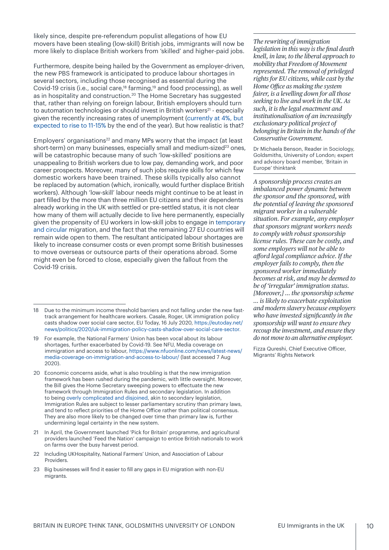likely since, despite pre-referendum populist allegations of how EU movers have been stealing (low-skill) British jobs, immigrants will now be more likely to displace British workers from 'skilled' and higher-paid jobs.

Furthermore, despite being hailed by the Government as employer-driven, the new PBS framework is anticipated to produce labour shortages in several sectors, including those recognised as essential during the Covid-19 crisis (i.e., social care,<sup>18</sup> farming,<sup>19</sup> and food processing), as well as in hospitality and construction.<sup>20</sup> The Home Secretary has suggested that, rather than relying on foreign labour, British employers should turn to automation technologies or should invest in British workers<sup>21</sup> - especially given the recently increasing rates of unemployment [\(currently at 4%, but](https://www.theguardian.com/business/2020/jul/07/uk-jobless-rate-coronavirus-oecd-unemployment)  [expected to rise to 11](https://www.theguardian.com/business/2020/jul/07/uk-jobless-rate-coronavirus-oecd-unemployment)-15% by the end of the year). But how realistic is that?

Employers' organisations<sup>22</sup> and many MPs worry that the impact (at least short-term) on many businesses, especially small and medium-sized $23$  ones, will be catastrophic because many of such 'low-skilled' positions are unappealing to British workers due to low pay, demanding work, and poor career prospects. Moreover, many of such jobs require skills for which few domestic workers have been trained. These skills typically also cannot be replaced by automation (which, ironically, would further displace British workers). Although 'low-skill' labour needs might continue to be at least in part filled by the more than three million EU citizens and their dependents already working in the UK with settled or pre-settled status, it is not clear how many of them will actually decide to live here permanently, especially given the propensity of EU workers in low-skill jobs to engage in [temporary](https://www.compas.ox.ac.uk/wp-content/uploads/WP-2011-084-D%C3%BCvell-Garapich_Polish_Migration_UK.pdf)  [and circular](https://www.compas.ox.ac.uk/wp-content/uploads/WP-2011-084-D%C3%BCvell-Garapich_Polish_Migration_UK.pdf) migration, and the fact that the remaining 27 EU countries will remain wide open to them. The resultant anticipated labour shortages are likely to increase consumer costs or even prompt some British businesses to move overseas or outsource parts of their operations abroad. Some might even be forced to close, especially given the fallout from the Covid-19 crisis.

*The rewriting of immigration legislation in this way is the fnal death knell, in law, to the liberal approach to mobility that Freedom of Movement represented. The removal of privileged rights for EU citizens, while cast by the Home Ofce as making the system fairer, is a levelling down for all those seeking to live and work in the UK. As such, it is the legal enactment and institutionalisation of an increasingly exclusionary political project of belonging in Britain in the hands of the Conservative Government.*

Dr Michaela Benson, Reader in Sociology, Goldsmiths, University of London; expert and advisory board member, 'Britain in Europe' thinktank

*A sponsorship process creates an imbalanced power dynamic between the sponsor and the sponsored, with the potential of leaving the sponsored migrant worker in a vulnerable situation. For example, any employer that sponsors migrant workers needs to comply with robust sponsorship license rules. These can be costly, and some employers will not be able to aford legal compliance advice. If the employer fails to comply, then the sponsored worker immediately becomes at risk, and may be deemed to be of 'irregular' immigration status. [Moreover,] … the sponsorship scheme … is likely to exacerbate exploitation and modern slavery because employers who have invested signifcantly in the sponsorship will want to ensure they recoup the investment, and ensure they do not move to an alternative employer.*

Fizza Qureshi, Chief Executive Oficer, Migrants' Rights Network

<sup>18</sup> Due to the minimum income threshold barriers and not falling under the new fasttrack arrangement for healthcare workers. Casale, Roger, UK immigration policy casts shadow over social care sector, EU Today, 16 July 2020, [https://eutoday.net/](https://eutoday.net/news/politics/2020/uk-immigration-policy-casts-shadow-over-social-care-sector) [news/politics/2020/uk-immigration-policy-casts-shadow-over-social-care-sector](https://eutoday.net/news/politics/2020/uk-immigration-policy-casts-shadow-over-social-care-sector).

<sup>19</sup> For example, the National Farmers' Union has been vocal about its labour shortages, further exacerbated by Covid-19. See NFU, Media coverage on immigration and access to labour, [https://www.nfuonline.com/news/latest-news/](https://www.nfuonline.com/news/latest-news/media-coverage-on-immigration-and-access-to-labour/) [media-coverage-on-immigration-and-access-to-labour/](https://www.nfuonline.com/news/latest-news/media-coverage-on-immigration-and-access-to-labour/) (last accessed 7 Aug 2020).

<sup>20</sup> Economic concerns aside, what is also troubling is that the new immigration framework has been rushed during the pandemic, with little oversight. Moreover, the Bill gives the Home Secretary sweeping powers to effectuate the new framework through Immigration Rules and secondary legislation. In addition to being [overly complicated and disjoined](https://www.freemovement.org.uk/how-complex-are-the-uk-immigration-rules-and-is-this-a-problem/), akin to secondary legislation, Immigration Rules are subject to lesser parliamentary scrutiny than primary laws, and tend to reflect priorities of the Home Ofice rather than political consensus. They are also more likely to be changed over time than primary law is, further undermining legal certainty in the new system.

<sup>21</sup> In April, the Government launched 'Pick for Britain' programme, and agricultural providers launched 'Feed the Nation' campaign to entice British nationals to work on farms over the busy harvest period.

<sup>22</sup> Including UKHospitality, National Farmers' Union, and Association of Labour Providers.

<sup>23</sup> Big businesses will find it easier to fill any gaps in EU migration with non-EU migrants.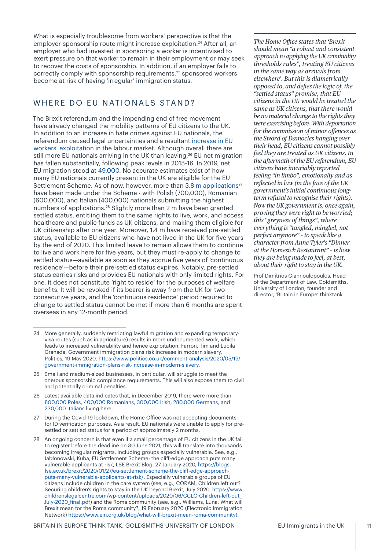<span id="page-10-0"></span>What is especially troublesome from workers' perspective is that the employer-sponsorship route might increase exploitation.<sup>24</sup> After all, an employer who had invested in sponsoring a worker is incentivised to exert pressure on that worker to remain in their employment or may seek to recover the costs of sponsorship. In addition, if an employer fails to correctly comply with sponsorship requirements,<sup>25</sup> sponsored workers become at risk of having 'irregular' immigration status.

#### WHERE DO EU NATIONALS STAND?

The Brexit referendum and the impending end of free movement have already changed the mobility patterns of EU citizens to the UK. In addition to an increase in hate crimes against EU nationals, the referendum caused legal uncertainties and a resultant [increase in EU](https://www.labourexploitation.org/publications/lost-transition-brexit-labour-exploitation)  [workers' exploitation](https://www.labourexploitation.org/publications/lost-transition-brexit-labour-exploitation) in the labour market. Although overall there are still more EU nationals arriving in the UK than leaving,<sup>26</sup> EU net migration has fallen substantially, following peak levels in 2015-16. In 2019, net EU migration stood at [49,000.](https://www.ons.gov.uk/peoplepopulationandcommunity/populationandmigration/internationalmigration/bulletins/migrationstatisticsquarterlyreport/may2020#eu-and-non-eu-migration-over-time) No accurate estimates exist of how many EU nationals currently present in the UK are eligible for the EU Settlement Scheme. As of now, however, more than [3.8 m applications](https://www.gov.uk/government/collections/eu-settlement-scheme-statistics)<sup>27</sup> have been made under the Scheme - with Polish (700,000), Romanian (600,000), and Italian (400,000) nationals submitting the highest numbers of applications.<sup>28</sup> Slightly more than 2 m have been granted settled status, entitling them to the same rights to live, work, and access healthcare and public funds as UK citizens, and making them eligible for UK citizenship after one year. Moreover, 1.4 m have received pre-settled status, available to EU citizens who have not lived in the UK for five years by the end of 2020. This limited leave to remain allows them to continue to live and work here for five years, but they must re-apply to change to settled status—available as soon as they accrue five years of 'continuous residence'—before their pre-settled status expires. Notably, pre-settled status carries risks and provides EU nationals with only limited rights. For one, it does not constitute 'right to reside' for the purposes of welfare benefits. It will be revoked if its bearer is away from the UK for two consecutive years, and the 'continuous residence' period required to change to settled status cannot be met if more than 6 months are spent overseas in any 12-month period.

*The Home Ofce [states](https://www.independent.co.uk/news/uk/politics/eu-citizens-brexit-deported-offences-crime-priti-patel-a9618476.html) that 'Brexit should mean "a robust and consistent approach to applying the UK criminality thresholds rules", treating EU citizens in the same way as arrivals from elsewhere'. But this is diametrically opposed to, and defes the logic of, the "settled status" promise, that EU citizens in the UK would be treated the same as UK citizens, that there would be no material change to the rights they were exercising before. With deportation for the commission of minor ofences as the Sword of Damocles hanging over their head, EU citizens cannot possibly feel they are treated as UK citizens. In the aftermath of the EU referendum, EU citizens have invariably reported feeling "in limbo", emotionally and as refected in law (in the face of the UK government's initial continuous longterm refusal to recognise their rights). Now the UK government is, once again, proving they were right to be worried; this "greyness of things", where everything is "tangled, mingled, not perfect anymore" – to speak like a character from Anne Tyler's "Dinner at the Homesick Restaurant" – is how they are being made to feel, at best, about their right to stay in the UK.*

Prof Dimitrios Giannoulopoulos, Head of the Department of Law, Goldsmiths, University of London; founder and director, 'Britain in Europe' thinktank

<sup>24</sup> More generally, suddenly restricting lawful migration and expanding temporaryvisa routes (such as in agriculture) results in more undocumented work, which leads to increased vulnerability and hence exploitation. Farron, Tim and Lucila Granada, Government immigration plans risk increase in modern slavery, Politics, 19 May 2020, [https://www.politics.co.uk/comment-analysis/2020/05/19/](https://www.politics.co.uk/comment-analysis/2020/05/19/government-immigration-plans-risk-increase-in-modern-slavery) [government-immigration-plans-risk-increase-in-modern-slavery.](https://www.politics.co.uk/comment-analysis/2020/05/19/government-immigration-plans-risk-increase-in-modern-slavery)

<sup>25</sup> Small and medium-sized businesses, in particular, will struggle to meet the onerous sponsorship compliance requirements. This will also expose them to civil and potentially criminal penalties.

<sup>26</sup> Latest available data indicates that, in December 2019, there were more than [800,000 Poles, 400,000 Romanians, 300,000 Irish, 280,000 Germans, and](https://www.ons.gov.uk/peoplepopulationandcommunity/populationandmigration/internationalmigration/bulletins/ukpopulationbycountryofbirthandnationality/2019)  [230,000 Italians](https://www.ons.gov.uk/peoplepopulationandcommunity/populationandmigration/internationalmigration/bulletins/ukpopulationbycountryofbirthandnationality/2019) living here.

<sup>27</sup> During the Covid-19 lockdown, the Home Ofice was not accepting documents for ID verification purposes. As a result, EU nationals were unable to apply for presettled or settled status for a period of approximately 2 months.

<sup>28</sup> An ongoing concern is that even if a small percentage of EU citizens in the UK fail to register before the deadline on 30 June 2021, this will translate into thousands becoming irregular migrants, including groups especially vulnerable. See, e.g., Jabłonowski, Kuba, EU Settlement Scheme: the clif-edge approach puts many vulnerable applicants at risk, LSE Brexit Blog, 27 January 2020, [https://blogs.](https://blogs.lse.ac.uk/brexit/2020/01/27/eu-settlement-scheme-the-cliff-edge-approach-puts-many-vulnerable-applicants-at-risk/) [lse.ac.uk/brexit/2020/01/27/eu-settlement-scheme-the-cli](https://blogs.lse.ac.uk/brexit/2020/01/27/eu-settlement-scheme-the-cliff-edge-approach-puts-many-vulnerable-applicants-at-risk/)f-edge-approach[puts-many-vulnerable-applicants-at-risk/.](https://blogs.lse.ac.uk/brexit/2020/01/27/eu-settlement-scheme-the-cliff-edge-approach-puts-many-vulnerable-applicants-at-risk/) Especially vulnerable groups of EU citizens include children in the care system (see, e.g., CORAM, Children left out? Securing children's rights to stay in the UK beyond Brexit, July 2020, [https://www.](https://www.childrenslegalcentre.com/wp-content/uploads/2020/06/CCLC-Children-left-out_July-2020_final.pdf) [childrenslegalcentre.com/wp-content/uploads/2020/06/CCLC](https://www.childrenslegalcentre.com/wp-content/uploads/2020/06/CCLC-Children-left-out_July-2020_final.pdf)-Children-left-out\_ [July-2020\\_](https://www.childrenslegalcentre.com/wp-content/uploads/2020/06/CCLC-Children-left-out_July-2020_final.pdf)final.pdf) and the Roma community (see, e.g., Williams, Luna, What will Brexit mean for the Roma community?, 19 February 2020 (Electronic Immigration Network) [https://www.ein.org.uk/blog/what-will-brexit-mean-roma-community\)](https://www.ein.org.uk/blog/what-will-brexit-mean-roma-community).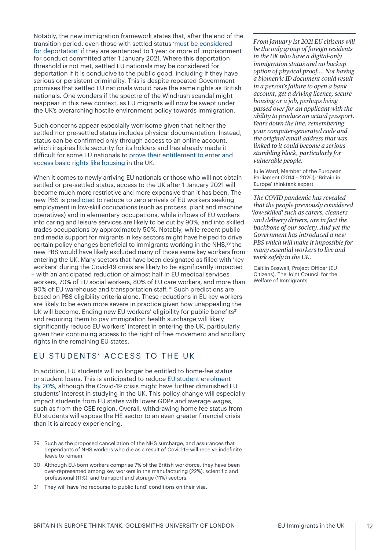<span id="page-11-0"></span>Notably, the new immigration framework states that, after the end of the transition period, even those with settled status ['must be considered](https://assets.publishing.service.gov.uk/government/uploads/system/uploads/attachment_data/file/899716/UK_Points-Based_Immigration_System_Further_Details.pdf)  [for deportation'](https://assets.publishing.service.gov.uk/government/uploads/system/uploads/attachment_data/file/899716/UK_Points-Based_Immigration_System_Further_Details.pdf) if they are sentenced to 1 year or more of imprisonment for conduct committed after 1 January 2021. Where this deportation threshold is not met, settled EU nationals may be considered for deportation if it is conducive to the public good, including if they have serious or persistent criminality. This is despite repeated Government promises that settled EU nationals would have the same rights as British nationals. One wonders if the spectre of the Windrush scandal might reappear in this new context, as EU migrants will now be swept under the UK's overarching hostile environment policy towards immigration.

Such concerns appear especially worrisome given that neither the settled nor pre-settled status includes physical documentation. Instead, status can be confirmed only through access to an online account, which inspires little security for its holders and has already made it dificult for some EU nationals [to prove their entitlement to enter and](https://www.independent.co.uk/news/uk/home-news/eu-nations-brexit-immigration-digital-status-settlement-scheme-home-office-a9679531.html)  [access basic rights like housing](https://www.independent.co.uk/news/uk/home-news/eu-nations-brexit-immigration-digital-status-settlement-scheme-home-office-a9679531.html) in the UK.

When it comes to newly arriving EU nationals or those who will not obtain settled or pre-settled status, access to the UK after 1 January 2021 will become much more restrictive and more expensive than it has been. The new PBS is [predicted to](https://www.gov.uk/government/publications/immigration-bill-2020-overarching-documents) reduce to zero arrivals of EU workers seeking employment in low-skill occupations (such as process, plant and machine operatives) and in elementary occupations, while inflows of EU workers into caring and leisure services are likely to be cut by 90%, and into skilled trades occupations by approximately 50%. Notably, while recent public and media support for migrants in key sectors might have helped to drive certain policy changes beneficial to immigrants working in the NHS,<sup>29</sup> the new PBS would have likely excluded many of those same key workers from entering the UK. Many sectors that have been designated as filled with 'key workers' during the Covid-19 crisis are likely to be significantly impacted – with an anticipated reduction of almost half in EU medical services workers, 70% of EU social workers, 80% of EU care workers, and more than 90% of EU warehouse and transportation staf. 30 Such predictions are based on PBS eligibility criteria alone. These reductions in EU key workers are likely to be even more severe in practice given how unappealing the UK will become. Ending new EU workers' eligibility for public benefits<sup>31</sup> and requiring them to pay immigration health surcharge will likely significantly reduce EU workers' interest in entering the UK, particularly given their continuing access to the right of free movement and ancillary rights in the remaining EU states.

# EU STUDENTS' ACCESS TO THE UK

In addition, EU students will no longer be entitled to home-fee status or student loans. This is anticipated to reduce [EU student enrolment](https://www.gov.uk/government/publications/immigration-bill-2020-overarching-documents)  [by 20%,](https://www.gov.uk/government/publications/immigration-bill-2020-overarching-documents) although the Covid-19 crisis might have further diminished EU students' interest in studying in the UK. This policy change will especially impact students from EU states with lower GDPs and average wages, such as from the CEE region. Overall, withdrawing home fee status from EU students will expose the HE sector to an even greater financial crisis than it is already experiencing.

*From January 1st 2021 EU citizens will be the only group of foreign residents in the UK who have a digital-only immigration status and no backup option of physical proof…. Not having a biometric ID document could result in a person's failure to open a bank account, get a driving licence, secure housing or a job, perhaps being passed over for an applicant with the ability to produce an actual passport. Years down the line, remembering your computer-generated code and the original email address that was linked to it could become a serious stumbling block, particularly for vulnerable people.*

Julie Ward, Member of the European Parliament (2014 – 2020); 'Britain in Europe' thinktank expert

*The COVID pandemic has revealed that the people previously considered 'low-skilled' such as carers, cleaners and delivery drivers, are in fact the backbone of our society. And yet the Government has introduced a new PBS which will make it impossible for many essential workers to live and work safely in the UK.* 

Caitlin Boswell, Project Oficer (EU Citizens), The Joint Council for the Welfare of Immigrants

<sup>29</sup> Such as the proposed cancellation of the NHS surcharge, and assurances that dependants of NHS workers who die as a result of Covid-19 will receive indefinite leave to remain.

<sup>30</sup> Although EU-born workers comprise 7% of the British workforce, they have been over-represented among key workers in the manufacturing (22%), scientific and professional (11%), and transport and storage (11%) sectors.

<sup>31</sup> They will have 'no recourse to public fund' conditions on their visa.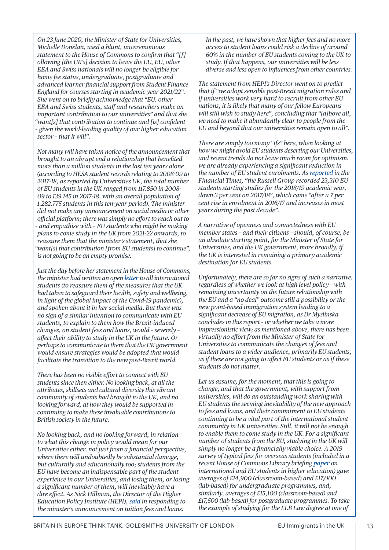*On 23 June 2020, the Minister of State for Universities, Michelle Donelan, used a blunt, unceremonious [statement](https://www.parliament.uk/business/publications/written-questions-answers-statements/written-statement/Commons/2020-06-23/HCWS310/) to the House of Commons to confrm that "[f] ollowing [the UK's] decision to leave the EU, EU, other EEA and Swiss nationals will no longer be eligible for home fee status, undergraduate, postgraduate and advanced learner fnancial support from Student Finance England for courses starting in academic year 2021/22". She went on to briefy acknowledge that "EU, other EEA and Swiss students, staf and researchers make an important contribution to our universities" and that she "want[s] that contribution to continue and [is] confdent – given the world-leading quality of our higher education sector – that it will".* 

*Not many will have taken notice of the announcement that brought to an abrupt end a relationship that benefted more than a million students in the last ten years alone (according to HESA student records relating to 2008-09 to 2017-18, as [reported](https://www.universitiesuk.ac.uk/International/Documents/2019/International%2520facts%2520and%2520figures%2520slides.pdf) by Universities UK, the total number of EU students in the UK ranged from 117.850 in 2008- 09 to 139.145 in 2017-18, with an overall population of 1.282.775 students in this ten-year period). The minister did not make any announcement on social media or other ofcial platform; there was simply no efort to reach out to – and empathise with – EU students who might be making plans to come study in the UK from 2021-22 onwards, to reassure them that the minister's statement, that she "want[s] that contribution [from EU students] to continue", is not going to be an empty promise.* 

*Just the day before her statement in the House of Commons, the minister had written an open [letter](https://study-uk.britishcouncil.org/sites/default/files/letter_to_prospective_international_students.pdf) to all international students (to reassure them of the measures that the UK had taken to safeguard their health, safety and wellbeing, in light of the global impact of the Covid-19 pandemic), and spoken about it in her social media. But there was no sign of a similar intention to communicate with EU students, to explain to them how the Brexit-induced changes, on student fees and loans, would – severely – afect their ability to study in the UK in the future. Or perhaps to communicate to them that the UK government would ensure strategies would be adopted that would facilitate the transition to the new post-Brexit world.* 

*There has been no visible efort to connect with EU students since then either. No looking back, at all the attributes, skillsets and cultural diversity this vibrant community of students had brought to the UK, and no looking forward, at how they would be supported in continuing to make these invaluable contributions to British society in the future.*

*No looking back, and no looking forward, in relation to what this change in policy would mean for our Universities either, not just from a fnancial perspective, where there will undoubtedly be substantial damage, but culturally and educationally too; students from the EU have become an indispensable part of the student experience in our Universities, and losing them, or losing a signifcant number of them, will inevitably have a dire efect. As Nick Hillman, the Director of the Higher Education Policy Institute (HEPI), [said](https://www.hepi.ac.uk/2020/06/23/response-to-the-announcement-on-fees-and-loans-for-eu-students-in-england-from-2021/) in responding to the minister's announcement on tuition fees and loans:*

*In the past, we have shown that higher fees and no more access to student loans could risk a decline of around 60% in the number of EU students coming to the UK to study. If that happens, our universities will be less diverse and less open to infuences from other countries.*

*The statement from HEPI's Director went on to predict that if "we adopt sensible post-Brexit migration rules and if universities work very hard to recruit from other EU nations, it is likely that many of our fellow Europeans will still wish to study here", concluding that "[a]bove all, we need to make it abundantly clear to people from the EU and beyond that our universities remain open to all".* 

*There are simply too many "ifs" here, when looking at how we might avoid EU students deserting our Universities, and recent trends do not leave much room for optimism: we are already experiencing a signifcant reduction in the number of EU student enrolments. As [reported](https://www.ft.com/content/32072762-0f6b-11e9-a3aa-118c761d2745) in the Financial Times, "the Russell Group recorded 23,310 EU students starting studies for the 2018/19 academic year, down 3 per cent on 2017/18", which came "after a 7 per cent rise in enrolment in 2016/17 and increases in most years during the past decade".*

*A narrative of openness and connectedness with EU member states – and their citizens – should, of course, be an absolute starting point, for the Minister of State for Universities, and the UK government, more broadly, if the UK is interested in remaining a primary academic destination for EU students.* 

*Unfortunately, there are so far no signs of such a narrative, regardless of whether we look at high level policy – with remaining uncertainty on the future relationship with the EU and a "no deal" outcome still a possibility or the new point-based immigration system leading to a signifcant decrease of EU migration, as Dr Myslinska concludes in this report – or whether we take a more impressionistic view; as mentioned above, there has been virtually no efort from the Minister of State for Universities to communicate the changes of fees and student loans to a wider audience, primarily EU students, as if these are not going to afect EU students or as if these students do not matter.*

*Let us assume, for the moment, that this is going to change, and that the government, with support from universities, will do an outstanding work sharing with EU students the seeming inevitability of the new approach to fees and loans, and their commitment to EU students continuing to be a vital part of the international student community in UK universities. Still, it will not be enough to enable them to come study in the UK. For a signifcant number of students from the EU, studying in the UK will simply no longer be a fnancially viable choice. A 2019 survey of typical fees for overseas students (included in a recent House of Commons Library briefng [paper](https://commonslibrary.parliament.uk/research-briefings/cbp-7976/) on international and EU students in higher education) gave averages of £14,900 (classroom-based) and £17,000 (lab-based) for undergraduate programmes, and, similarly, averages of £15,100 (classroom-based) and £17,500 (lab-based) for postgraduate programmes. To take the example of studying for the LLB Law degree at one of*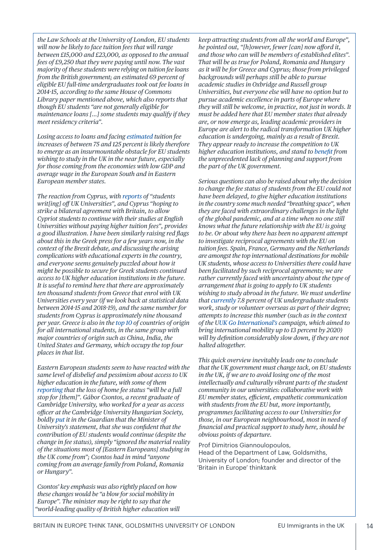*the Law Schools at the University of London, EU students will now be likely to face tuition fees that will range between £15,000 and £23,000, as opposed to the annual fees of £9,250 that they were paying until now. The vast majority of these students were relying on tuition fee loans from the British government; an estimated 69 percent of eligible EU full-time undergraduates took out fee loans in 2014-15, according to the same House of Commons Library [paper](https://commonslibrary.parliament.uk/research-briefings/cbp-7976/) mentioned above, which also reports that though EU students "are not generally eligible for maintenance loans […] some students may qualify if they meet residency criteria".*

*Losing access to loans and facing [estimated](https://www.thelocal.de/20200703/why-germany-is-becoming-europes-second-study-destination) tuition fee increases of between 75 and 125 percent is likely therefore to emerge as an insurmountable obstacle for EU students wishing to study in the UK in the near future, especially for those coming from the economies with low GDP and average wage in the European South and in Eastern European member states.* 

*The reaction from Cyprus, with [reports](https://www.financialmirror.com/2020/07/03/cyprus-students-write-off-uk-universities/) of "students writ[ing] of UK Universities", and Cyprus "hoping to strike a bilateral agreement with Britain, to allow Cypriot students to continue with their studies at English Universities without paying higher tuition fees", provides a good illustration. I have been similarly raising red fags about this in the Greek press for a few years now, in the context of the Brexit debate, and discussing the arising complications with educational experts in the country, and everyone seems genuinely puzzled about how it might be possible to secure for Greek students continued access to UK higher education institutions in the future. It is useful to remind here that there are approximately ten thousand students from Greece that enrol with UK Universities every year (if we look back at statistical data between 2014-15 and 2018-19), and the same number for students from Cyprus is approximately nine thousand per year. Greece is also in the [top 10](https://commonslibrary.parliament.uk/research-briefings/cbp-7976/) of countries of origin for all international students, in the same group with major countries of origin such as China, India, the United States and Germany, which occupy the top four places in that list.*

*Eastern European students seem to have reacted with the same level of disbelief and pessimism about access to UK higher education in the future, with some of them [reporting](https://thetab.com/uk/cambridge/2020/06/24/it-will-be-a-full-stop-for-us-eastern-european-students-on-the-loss-of-home-fee-status-139076) that the loss of home fee status "will be a full stop for [them]". Gábor Csontos, a recent graduate of Cambridge University, who worked for a year as access ofcer at the Cambridge University Hungarian Society, boldly [put](https://www.theguardian.com/education/2020/jul/04/making-eu-students-pay-higher-fees-is-a-blow-for-social-mobility) it in the Guardian that the Minister of University's statement, that she was confdent that the contribution of EU students would continue (despite the change in fee status), simply "ignored the material reality of the situations most of [Eastern Europeans] studying in the UK come from"; Csontos had in mind "anyone coming from an average family from Poland, Romania or Hungary".* 

*Csontos' key emphasis was also rightly placed on how these changes would be "a blow for social mobility in Europe". The minister may be right to say that the "world-leading quality of British higher education will*  *keep attracting students from all the world and Europe", he pointed out, "[h]owever, fewer [can] now aford it, and those who can will be members of established elites". That will be as true for Poland, Romania and Hungary as it will be for Greece and Cyprus; those from privileged backgrounds will perhaps still be able to pursue academic studies in Oxbridge and Russell group Universities, but everyone else will have no option but to pursue academic excellence in parts of Europe where they will still be welcome, in practice, not just in words. It must be added here that EU member states that already are, or now emerge as, leading academic providers in Europe are alert to the radical transformation UK higher education is undergoing, mainly as a result of Brexit. They appear ready to increase the competition to UK higher education institutions, and stand to [bene](https://www.thelocal.de/20200703/why-germany-is-becoming-europes-second-study-destination)ft from the unprecedented lack of planning and support from the part of the UK government.*

*Serious questions can also be raised about why the decision to change the fee status of students from the EU could not have been delayed, to give higher education institutions in the country some much needed "breathing space", when they are faced with extraordinary challenges in the light of the global pandemic, and at a time when no one still knows what the future relationship with the EU is going to be. Or about why there has been no apparent attempt to investigate reciprocal agreements with the EU on tuition fees. Spain, France, Germany and the Netherlands are amongst the top international destinations for mobile UK students, whose access to Universities there could have been facilitated by such reciprocal agreements; we are rather currently faced with uncertainty about the type of arrangement that is going to apply to UK students wishing to study abroad in the future. We must underline that [currently](https://www.universitiesuk.ac.uk/International/Documents/2019/International%20facts%20and%20figures%20slides.pdf) 7.8 percent of UK undergraduate students work, study or volunteer overseas as part of their degree; attempts to increase this number (such as in the context of the [UUK Go International](https://www.universitiesuk.ac.uk/International/go-international/stand-out)'s campaign, which aimed to bring international mobility up to 13 percent by 2020) will by defnition considerably slow down, if they are not halted altogether.*

*This quick overview inevitably leads one to conclude that the UK government must change tack, on EU students in the UK, if we are to avoid losing one of the most intellectually and culturally vibrant parts of the student community in our universities: collaborative work with EU member states, efcient, empathetic communication with students from the EU but, more importantly, programmes facilitating access to our Universities for those, in our European neighbourhood, most in need of fnancial and practical support to study here, should be obvious points of departure.*

Prof Dimitrios Giannoulopoulos, Head of the Department of Law, Goldsmiths, University of London; founder and director of the 'Britain in Europe' thinktank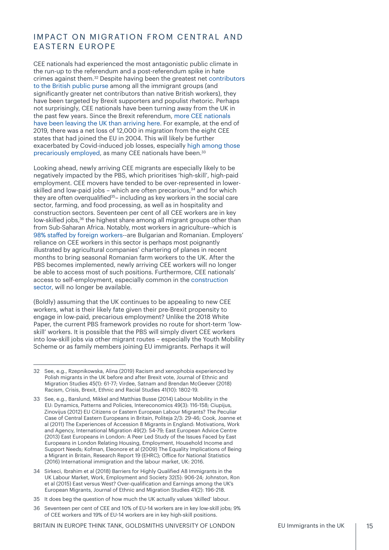# <span id="page-14-0"></span>IMPACT ON MIGRATION FROM CENTRAL AND EASTERN EUROPE

CEE nationals had experienced the most antagonistic public climate in the run-up to the referendum and a post-referendum spike in hate crimes against them.32 Despite having been the greatest net [contributors](https://www.cream-migration.org/files/FiscalEJ.pdf)  [to the British public purse](https://www.cream-migration.org/files/FiscalEJ.pdf) among all the immigrant groups (and significantly greater net contributors than native British workers), they have been targeted by Brexit supporters and populist rhetoric. Perhaps not surprisingly, CEE nationals have been turning away from the UK in the past few years. Since the Brexit referendum, [more CEE nationals](https://www.ons.gov.uk/peoplepopulationandcommunity/populationandmigration/internationalmigration/bulletins/migrationstatisticsquarterlyreport/may2020#eu-and-non-eu-migration-over-time)  [have been leaving the UK than arriving here.](https://www.ons.gov.uk/peoplepopulationandcommunity/populationandmigration/internationalmigration/bulletins/migrationstatisticsquarterlyreport/may2020#eu-and-non-eu-migration-over-time) For example, at the end of 2019, there was a net loss of 12,000 in migration from the eight CEE states that had joined the EU in 2004. This will likely be further exacerbated by Covid-induced job losses, especially [high among those](https://blogs.lse.ac.uk/socialpolicy/2020/06/15/the-devastating-impact-of-the-coronavirus-crisis-on-precarious-workers-in-the-uk-and-three-reasons-for-optimism/)  [precariously employed,](https://blogs.lse.ac.uk/socialpolicy/2020/06/15/the-devastating-impact-of-the-coronavirus-crisis-on-precarious-workers-in-the-uk-and-three-reasons-for-optimism/) as many CEE nationals have been.<sup>33</sup>

Looking ahead, newly arriving CEE migrants are especially likely to be negatively impacted by the PBS, which prioritises 'high-skill', high-paid employment. CEE movers have tended to be over-represented in lowerskilled and low-paid jobs – which are often precarious, $34$  and for which they are often overqualified<sup>35</sup>– including as key workers in the social care sector, farming, and food processing, as well as in hospitality and construction sectors. Seventeen per cent of all CEE workers are in key low-skilled jobs,<sup>36</sup> the highest share among all migrant groups other than from Sub-Saharan Africa. Notably, most workers in agriculture--which is 98% staf[ed by foreign workers-](https://www.wsj.com/articles/on-britains-farms-a-shortage-of-eu-workers-squeezes-harvests-1535544001)-are Bulgarian and Romanian. Employers' reliance on CEE workers in this sector is perhaps most poignantly illustrated by agricultural companies' chartering of planes in recent months to bring seasonal Romanian farm workers to the UK. After the PBS becomes implemented, newly arriving CEE workers will no longer be able to access most of such positions. Furthermore, CEE nationals' access to self-employment, especially common in the [construction](https://commonslibrary.parliament.uk/research-briefings/sn00196/)  [sector,](https://commonslibrary.parliament.uk/research-briefings/sn00196/) will no longer be available.

(Boldly) assuming that the UK continues to be appealing to new CEE workers, what is their likely fate given their pre-Brexit propensity to engage in low-paid, precarious employment? Unlike the 2018 White Paper, the current PBS framework provides no route for short-term 'lowskill' workers. It is possible that the PBS will simply divert CEE workers into low-skill jobs via other migrant routes – especially the Youth Mobility Scheme or as family members joining EU immigrants. Perhaps it will

35 It does beg the question of how much the UK actually values 'skilled' labour.

<sup>32</sup> See, e.g., Rzepnikowska, Alina (2019) Racism and xenophobia experienced by Polish migrants in the UK before and after Brexit vote, Journal of Ethnic and Migration Studies 45(1): 61-77; Virdee, Satnam and Brendan McGeever (2018) Racism, Crisis, Brexit, Ethnic and Racial Studies 41(10): 1802-19.

<sup>33</sup> See, e.g., Barslund, Mikkel and Matthias Busse (2014) Labour Mobility in the EU: Dynamics, Patterns and Policies, Intereconomics 49(3): 116-158; Ciupijus, Zinovijus (2012) EU Citizens or Eastern European Labour Migrants? The Peculiar Case of Central Eastern Europeans in Britain, Politeja 2/3: 29-46; Cook, Joanne et al (2011) The Experiences of Accession 8 Migrants in England: Motivations, Work and Agency, International Migration 49(2): 54-79; East European Advice Centre (2013) East Europeans in London: A Peer Led Study of the Issues Faced by East Europeans in London Relating Housing, Employment, Household Income and Support Needs; Kofman, Eleonore et al (2009) The Equality Implications of Being a Migrant in Britain, Research Report 19 (EHRC); Ofice for National Statistics (2016) International immigration and the labour market, UK: 2016.

<sup>34</sup> Sirkeci, Ibrahim et al (2018) Barriers for Highly Qualified A8 Immigrants in the UK Labour Market, Work, Employment and Society 32(5): 906-24; Johnston, Ron et al (2015) East versus West? Over-qualification and Earnings among the UK's European Migrants, Journal of Ethnic and Migration Studies 41(2): 196-218.

<sup>36</sup> Seventeen per cent of CEE and 10% of EU-14 workers are in key low-skill jobs; 9% of CEE workers and 19% of EU-14 workers are in key high-skill positions.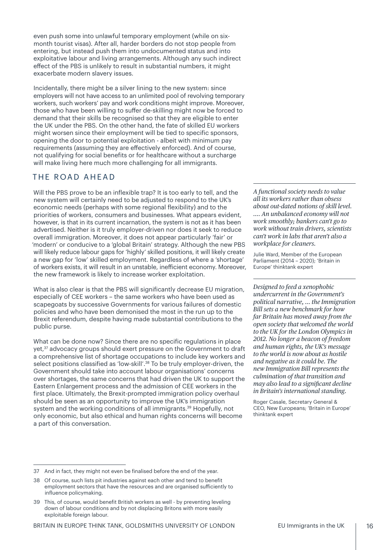<span id="page-15-0"></span>even push some into unlawful temporary employment (while on sixmonth tourist visas). After all, harder borders do not stop people from entering, but instead push them into undocumented status and into exploitative labour and living arrangements. Although any such indirect efect of the PBS is unlikely to result in substantial numbers, it might exacerbate modern slavery issues.

Incidentally, there might be a silver lining to the new system: since employers will not have access to an unlimited pool of revolving temporary workers, such workers' pay and work conditions might improve. Moreover, those who have been willing to sufer de-skilling might now be forced to demand that their skills be recognised so that they are eligible to enter the UK under the PBS. On the other hand, the fate of skilled EU workers might worsen since their employment will be tied to specific sponsors, opening the door to potential exploitation - albeit with minimum pay requirements (assuming they are efectively enforced). And of course, not qualifying for social benefits or for healthcare without a surcharge will make living here much more challenging for all immigrants.

# THE ROAD AHEAD

Will the PBS prove to be an inflexible trap? It is too early to tell, and the new system will certainly need to be adjusted to respond to the UK's economic needs (perhaps with some regional flexibility) and to the priorities of workers, consumers and businesses. What appears evident, however, is that in its current incarnation, the system is not as it has been advertised. Neither is it truly employer-driven nor does it seek to reduce overall immigration. Moreover, it does not appear particularly 'fair' or 'modern' or conducive to a 'global Britain' strategy. Although the new PBS will likely reduce labour gaps for 'highly' skilled positions, it will likely create a new gap for 'low' skilled employment. Regardless of where a 'shortage' of workers exists, it will result in an unstable, ineficient economy. Moreover, the new framework is likely to increase worker exploitation.

What is also clear is that the PBS will significantly decrease EU migration, especially of CEE workers – the same workers who have been used as scapegoats by successive Governments for various failures of domestic policies and who have been demonised the most in the run up to the Brexit referendum, despite having made substantial contributions to the public purse.

What can be done now? Since there are no specific regulations in place yet,<sup>37</sup> advocacy groups should exert pressure on the Government to draft a comprehensive list of shortage occupations to include key workers and select positions classified as 'low-skill'.<sup>38</sup> To be truly employer-driven, the Government should take into account labour organisations' concerns over shortages, the same concerns that had driven the UK to support the Eastern Enlargement process and the admission of CEE workers in the first place. Ultimately, the Brexit-prompted immigration policy overhaul should be seen as an opportunity to improve the UK's immigration system and the working conditions of all immigrants.<sup>39</sup> Hopefully, not only economic, but also ethical and human rights concerns will become a part of this conversation.

*A functional society needs to value all its workers rather than obsess about out-dated notions of skill level. …. An unbalanced economy will not work smoothly; bankers can't go to work without train drivers, scientists can't work in labs that aren't also a workplace for cleaners.* 

Julie Ward, Member of the European Parliament (2014 – 2020); 'Britain in Europe' thinktank expert

*Designed to feed a xenophobic undercurrent in the Government's political narrative, … the Immigration Bill sets a new benchmark for how far Britain has moved away from the open society that welcomed the world to the UK for the London Olympics in 2012. No longer a beacon of freedom and human rights, the UK's message to the world is now about as hostile and negative as it could be. The new Immigration Bill represents the culmination of that transition and may also lead to a signifcant decline in Britain's international standing.*

Roger Casale, Secretary General & CEO, New Europeans; 'Britain in Europe' thinktank expert

<sup>37</sup> And in fact, they might not even be finalised before the end of the year.

<sup>38</sup> Of course, such lists pit industries against each other and tend to benefit employment sectors that have the resources and are organised suficiently to influence policymaking.

<sup>39</sup> This, of course, would benefit British workers as well - by preventing leveling down of labour conditions and by not displacing Britons with more easily exploitable foreign labour.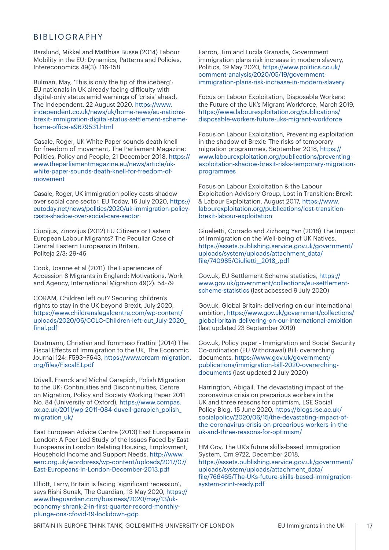#### <span id="page-16-0"></span>BIBLIOGRAPHY

Barslund, Mikkel and Matthias Busse (2014) Labour Mobility in the EU: Dynamics, Patterns and Policies, Intereconomics 49(3): 116-158

Bulman, May, 'This is only the tip of the iceberg': EU nationals in UK already facing dificulty with digital-only status amid warnings of 'crisis' ahead, The Independent, 22 August 2020, [https://www.](https://www.independent.co.uk/news/uk/home-news/eu-nations-brexit-immigration-digital-status-settlement-scheme-home-office-a9679531.html) [independent.co.uk/news/uk/home-news/eu-nations](https://www.independent.co.uk/news/uk/home-news/eu-nations-brexit-immigration-digital-status-settlement-scheme-home-office-a9679531.html)[brexit-immigration-digital-status-settlement-scheme](https://www.independent.co.uk/news/uk/home-news/eu-nations-brexit-immigration-digital-status-settlement-scheme-home-office-a9679531.html)home-of[ice-a9679531.html](https://www.independent.co.uk/news/uk/home-news/eu-nations-brexit-immigration-digital-status-settlement-scheme-home-office-a9679531.html)

Casale, Roger, UK White Paper sounds death knell for freedom of movement, The Parliament Magazine: Politics, Policy and People, 21 December 2018, [https://](https://www.theparliamentmagazine.eu/news/article/uk-white-paper-sounds-death-knell-for-freedom-of-movement) [www.theparliamentmagazine.eu/news/article/uk](https://www.theparliamentmagazine.eu/news/article/uk-white-paper-sounds-death-knell-for-freedom-of-movement)[white-paper-sounds-death-knell-for-freedom-of](https://www.theparliamentmagazine.eu/news/article/uk-white-paper-sounds-death-knell-for-freedom-of-movement)[movement](https://www.theparliamentmagazine.eu/news/article/uk-white-paper-sounds-death-knell-for-freedom-of-movement)

Casale, Roger, UK immigration policy casts shadow over social care sector, EU Today, 16 July 2020, [https://](https://eutoday.net/news/politics/2020/uk-immigration-policy-casts-shadow-over-social-care-sector) [eutoday.net/news/politics/2020/uk-immigration-policy](https://eutoday.net/news/politics/2020/uk-immigration-policy-casts-shadow-over-social-care-sector)[casts-shadow-over-social-care-sector](https://eutoday.net/news/politics/2020/uk-immigration-policy-casts-shadow-over-social-care-sector)

Ciupijus, Zinovijus (2012) EU Citizens or Eastern European Labour Migrants? The Peculiar Case of Central Eastern Europeans in Britain, Politeja 2/3: 29-46

Cook, Joanne et al (2011) The Experiences of Accession 8 Migrants in England: Motivations, Work and Agency, International Migration 49(2): 54-79

CORAM, Children left out? Securing children's rights to stay in the UK beyond Brexit, July 2020, [https://www.childrenslegalcentre.com/wp-content/](https://www.childrenslegalcentre.com/wp-content/uploads/2020/06/CCLC-Children-left-out_July-2020_final.pdf) uploads/2020/06/CCLC-[Children-left-out\\_July-2020\\_](https://www.childrenslegalcentre.com/wp-content/uploads/2020/06/CCLC-Children-left-out_July-2020_final.pdf) f[inal.pdf](https://www.childrenslegalcentre.com/wp-content/uploads/2020/06/CCLC-Children-left-out_July-2020_final.pdf)

Dustmann, Christian and Tommaso Frattini (2014) The Fiscal Efects of Immigration to the UK, The Economic Journal 124: F593–F643, [https://www.cream-migration.](https://www.cream-migration.org/files/FiscalEJ.pdf) org/f[iles/FiscalEJ.pdf](https://www.cream-migration.org/files/FiscalEJ.pdf)

Düvell, Franck and Michal Garapich, Polish Migration to the UK: Continuities and Discontinuities, Centre on Migration, Policy and Society Working Paper 2011 No. 84 (University of Oxford), [https://www.compas.](https://www.compas.ox.ac.uk/2011/wp-2011-084-duvell-garapich_polish_migration_uk/) ox.ac.uk/2011/wp-2011-[084-duvell-garapich\\_polish\\_](https://www.compas.ox.ac.uk/2011/wp-2011-084-duvell-garapich_polish_migration_uk/) [migration\\_uk/](https://www.compas.ox.ac.uk/2011/wp-2011-084-duvell-garapich_polish_migration_uk/)

East European Advice Centre (2013) East Europeans in London: A Peer Led Study of the Issues Faced by East Europeans in London Relating Housing, Employment, Household Income and Support Needs, [http://www.](http://www.eerc.org.uk/wordpress/wp-content/uploads/2017/07/East-Europeans-in-London-December-2013.pdf) [eerc.org.uk/wordpress/wp-content/uploads/2017/07/](http://www.eerc.org.uk/wordpress/wp-content/uploads/2017/07/East-Europeans-in-London-December-2013.pdf) [East-Europeans-in-London-December-2013.pdf](http://www.eerc.org.uk/wordpress/wp-content/uploads/2017/07/East-Europeans-in-London-December-2013.pdf)

Elliott, Larry, Britain is facing 'significant recession', says Rishi Sunak, The Guardian, 13 May 2020, [https://](https://www.theguardian.com/business/2020/may/13/uk-economy-shrank-2-in-first-quarter-record-monthly-plunge-ons-cfovid-19-lockdown-gdp) [www.theguardian.com/business/2020/may/13/uk](https://www.theguardian.com/business/2020/may/13/uk-economy-shrank-2-in-first-quarter-record-monthly-plunge-ons-cfovid-19-lockdown-gdp)economy-shrank-2-in-f[irst-quarter-record-monthly](https://www.theguardian.com/business/2020/may/13/uk-economy-shrank-2-in-first-quarter-record-monthly-plunge-ons-cfovid-19-lockdown-gdp)[plunge-ons-cfovid-19-lockdown-gdp](https://www.theguardian.com/business/2020/may/13/uk-economy-shrank-2-in-first-quarter-record-monthly-plunge-ons-cfovid-19-lockdown-gdp)

Farron, Tim and Lucila Granada, Government immigration plans risk increase in modern slavery, Politics, 19 May 2020, [https://www.politics.co.uk/](https://www.politics.co.uk/comment-analysis/2020/05/19/government-immigration-plans-risk-increase-in-modern-slavery) [comment-analysis/2020/05/19/government](https://www.politics.co.uk/comment-analysis/2020/05/19/government-immigration-plans-risk-increase-in-modern-slavery)[immigration-plans-risk-increase-in-modern-slavery](https://www.politics.co.uk/comment-analysis/2020/05/19/government-immigration-plans-risk-increase-in-modern-slavery)

Focus on Labour Exploitation, Disposable Workers: the Future of the UK's Migrant Workforce, March 2019, [https://www.labourexploitation.org/publications/](https://www.labourexploitation.org/publications/disposable-workers-future-uks-migrant-workforce) [disposable-workers-future-uks-migrant-workforce](https://www.labourexploitation.org/publications/disposable-workers-future-uks-migrant-workforce)

Focus on Labour Exploitation, Preventing exploitation in the shadow of Brexit: The risks of temporary migration programmes, September 2018, [https://](https://www.labourexploitation.org/publications/preventing-exploitation-shadow-brexit-risks-temporary-migration-programmes) [www.labourexploitation.org/publications/preventing](https://www.labourexploitation.org/publications/preventing-exploitation-shadow-brexit-risks-temporary-migration-programmes)[exploitation-shadow-brexit-risks-temporary-migration](https://www.labourexploitation.org/publications/preventing-exploitation-shadow-brexit-risks-temporary-migration-programmes)[programmes](https://www.labourexploitation.org/publications/preventing-exploitation-shadow-brexit-risks-temporary-migration-programmes)

Focus on Labour Exploitation & the Labour Exploitation Advisory Group, Lost in Transition: Brexit & Labour Exploitation, August 2017, [https://www.](https://www.labourexploitation.org/publications/lost-transition-brexit-labour-exploitation) [labourexploitation.org/publications/lost-transition](https://www.labourexploitation.org/publications/lost-transition-brexit-labour-exploitation)[brexit-labour-exploitation](https://www.labourexploitation.org/publications/lost-transition-brexit-labour-exploitation)

Giuelietti, Corrado and Zizhong Yan (2018) The Impact of Immigration on the Well-being of UK Natives, [https://assets.publishing.service.gov.uk/government/](https://assets.publishing.service.gov.uk/government/uploads/system/uploads/attachment_data/file/740985/Giulietti__2018_.pdf) [uploads/system/uploads/attachment\\_data/](https://assets.publishing.service.gov.uk/government/uploads/system/uploads/attachment_data/file/740985/Giulietti__2018_.pdf) f[ile/740985/Giulietti\\_\\_2018\\_.pdf](https://assets.publishing.service.gov.uk/government/uploads/system/uploads/attachment_data/file/740985/Giulietti__2018_.pdf)

Gov.uk, EU Settlement Scheme statistics, [https://](https://www.gov.uk/government/collections/eu-settlement-scheme-statistics) [www.gov.uk/government/collections/eu-settlement](https://www.gov.uk/government/collections/eu-settlement-scheme-statistics)[scheme-statistics](https://www.gov.uk/government/collections/eu-settlement-scheme-statistics) (last accessed 9 July 2020)

Gov.uk, Global Britain: delivering on our international ambition, [https://www.gov.uk/government/collections/](https://www.gov.uk/government/collections/global-britain-delivering-on-our-international-ambition) [global-britain-delivering-on-our-international-ambition](https://www.gov.uk/government/collections/global-britain-delivering-on-our-international-ambition) (last updated 23 September 2019)

Gov.uk, Policy paper - Immigration and Social Security Co-ordination (EU Withdrawal) Bill: overarching documents, [https://www.gov.uk/government/](https://www.gov.uk/government/publications/immigration-bill-2020-overarching-documents) [publications/immigration-bill-2020-overarching](https://www.gov.uk/government/publications/immigration-bill-2020-overarching-documents)[documents](https://www.gov.uk/government/publications/immigration-bill-2020-overarching-documents) (last updated 2 July 2020)

Harrington, Abigail, The devastating impact of the coronavirus crisis on precarious workers in the UK and three reasons for optimism, LSE Social Policy Blog, 15 June 2020, [https://blogs.lse.ac.uk/](https://blogs.lse.ac.uk/socialpolicy/2020/06/15/the-devastating-impact-of-the-coronavirus-crisis-on-precarious-workers-in-the-uk-and-three-reasons-for-optimism/) [socialpolicy/2020/06/15/the-devastating-impact-of](https://blogs.lse.ac.uk/socialpolicy/2020/06/15/the-devastating-impact-of-the-coronavirus-crisis-on-precarious-workers-in-the-uk-and-three-reasons-for-optimism/)[the-coronavirus-crisis-on-precarious-workers-in-the](https://blogs.lse.ac.uk/socialpolicy/2020/06/15/the-devastating-impact-of-the-coronavirus-crisis-on-precarious-workers-in-the-uk-and-three-reasons-for-optimism/)[uk-and-three-reasons-for-optimism/](https://blogs.lse.ac.uk/socialpolicy/2020/06/15/the-devastating-impact-of-the-coronavirus-crisis-on-precarious-workers-in-the-uk-and-three-reasons-for-optimism/)

HM Gov, The UK's future skills-based Immigration System, Cm 9722, December 2018, [https://assets.publishing.service.gov.uk/government/](https://assets.publishing.service.gov.uk/government/uploads/system/uploads/attachment_data/file/766465/The-UKs-future-skills-based-immigration-system-print-ready.pdf) [uploads/system/uploads/attachment\\_data/](https://assets.publishing.service.gov.uk/government/uploads/system/uploads/attachment_data/file/766465/The-UKs-future-skills-based-immigration-system-print-ready.pdf) f[ile/766465/The-UKs-future-skills-based-immigration](https://assets.publishing.service.gov.uk/government/uploads/system/uploads/attachment_data/file/766465/The-UKs-future-skills-based-immigration-system-print-ready.pdf)[system-print-ready.pdf](https://assets.publishing.service.gov.uk/government/uploads/system/uploads/attachment_data/file/766465/The-UKs-future-skills-based-immigration-system-print-ready.pdf)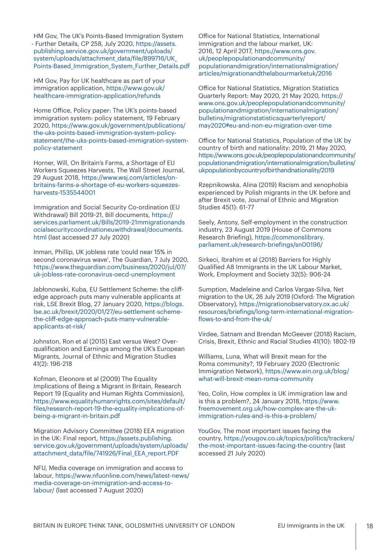HM Gov, The UK's Points-Based Immigration System - Further Details, CP 258, July 2020, [https://assets.](https://assets.publishing.service.gov.uk/government/uploads/system/uploads/attachment_data/file/899716/UK_Points-Based_Immigration_System_Further_Details.pdf) [publishing.service.gov.uk/government/uploads/](https://assets.publishing.service.gov.uk/government/uploads/system/uploads/attachment_data/file/899716/UK_Points-Based_Immigration_System_Further_Details.pdf) [system/uploads/attachment\\_data/](https://assets.publishing.service.gov.uk/government/uploads/system/uploads/attachment_data/file/899716/UK_Points-Based_Immigration_System_Further_Details.pdf)file/899716/UK [Points-Based\\_Immigration\\_System\\_Further\\_Details.pdf](https://assets.publishing.service.gov.uk/government/uploads/system/uploads/attachment_data/file/899716/UK_Points-Based_Immigration_System_Further_Details.pdf)

HM Gov, Pay for UK healthcare as part of your immigration application, [https://www.gov.uk/](https://www.gov.uk/healthcare-immigration-application/refunds) [healthcare-immigration-application/refunds](https://www.gov.uk/healthcare-immigration-application/refunds)

Home Ofice, Policy paper: The UK's points-based immigration system: policy statement, 19 February 2020, [https://www.gov.uk/government/publications/](https://www.gov.uk/government/publications/the-uks-points-based-immigration-system-policy-statement/the-uks-points-based-immigration-system-policy-statement) [the-uks-points-based-immigration-system-policy](https://www.gov.uk/government/publications/the-uks-points-based-immigration-system-policy-statement/the-uks-points-based-immigration-system-policy-statement)[statement/the-uks-points-based-immigration-system](https://www.gov.uk/government/publications/the-uks-points-based-immigration-system-policy-statement/the-uks-points-based-immigration-system-policy-statement)[policy-statement](https://www.gov.uk/government/publications/the-uks-points-based-immigration-system-policy-statement/the-uks-points-based-immigration-system-policy-statement)

Horner, Will, On Britain's Farms, a Shortage of EU Workers Squeezes Harvests, The Wall Street Journal, 29 August 2018, [https://www.wsj.com/articles/on](https://www.wsj.com/articles/on-britains-farms-a-shortage-of-eu-workers-squeezes-harvests-1535544001)[britains-farms-a-shortage-of-eu-workers-squeezes](https://www.wsj.com/articles/on-britains-farms-a-shortage-of-eu-workers-squeezes-harvests-1535544001)[harvests-1535544001](https://www.wsj.com/articles/on-britains-farms-a-shortage-of-eu-workers-squeezes-harvests-1535544001)

Immigration and Social Security Co-ordination (EU Withdrawal) Bill 2019-21, Bill documents, [https://](https://services.parliament.uk/Bills/2019-21/immigrationandsocialsecuritycoordinationeuwithdrawal/documents.html) [services.parliament.uk/Bills/2019](https://services.parliament.uk/Bills/2019-21/immigrationandsocialsecuritycoordinationeuwithdrawal/documents.html)-21mmigrationands [ocialsecuritycoordinationeuwithdrawal/documents.](https://services.parliament.uk/Bills/2019-21/immigrationandsocialsecuritycoordinationeuwithdrawal/documents.html) [html](https://services.parliament.uk/Bills/2019-21/immigrationandsocialsecuritycoordinationeuwithdrawal/documents.html) (last accessed 27 July 2020)

Inman, Phillip, UK jobless rate 'could near 15% in second coronavirus wave', The Guardian, 7 July 2020, [https://www.theguardian.com/business/2020/jul/07/](https://www.theguardian.com/business/2020/jul/07/uk-jobless-rate-coronavirus-oecd-unemployment) [uk-jobless-rate-coronavirus-oecd-unemployment](https://www.theguardian.com/business/2020/jul/07/uk-jobless-rate-coronavirus-oecd-unemployment)

Jabłonowski, Kuba, EU Settlement Scheme: the clifedge approach puts many vulnerable applicants at risk, LSE Brexit Blog, 27 January 2020, [https://blogs.](https://blogs.lse.ac.uk/brexit/2020/01/27/eu-settlement-scheme-the-cliff-edge-approach-puts-many-vulnerable-applicants-at-risk/) [lse.ac.uk/brexit/2020/01/27/eu-settlement-scheme](https://blogs.lse.ac.uk/brexit/2020/01/27/eu-settlement-scheme-the-cliff-edge-approach-puts-many-vulnerable-applicants-at-risk/)the-clif[-edge-approach-puts-many-vulnerable](https://blogs.lse.ac.uk/brexit/2020/01/27/eu-settlement-scheme-the-cliff-edge-approach-puts-many-vulnerable-applicants-at-risk/)[applicants-at-risk/](https://blogs.lse.ac.uk/brexit/2020/01/27/eu-settlement-scheme-the-cliff-edge-approach-puts-many-vulnerable-applicants-at-risk/)

Johnston, Ron et al (2015) East versus West? Overqualification and Earnings among the UK's European Migrants, Journal of Ethnic and Migration Studies 41(2): 196-218

Kofman, Eleonore et al (2009) The Equality Implications of Being a Migrant in Britain, Research Report 19 (Equality and Human Rights Commission), [https://www.equalityhumanrights.com/sites/default/](https://www.equalityhumanrights.com/sites/default/files/research-report-19-the-equality-implications-of-being-a-migrant-in-britain.pdf) f[iles/research-report-19-the-equality-implications-of](https://www.equalityhumanrights.com/sites/default/files/research-report-19-the-equality-implications-of-being-a-migrant-in-britain.pdf)[being-a-migrant-in-britain.pdf](https://www.equalityhumanrights.com/sites/default/files/research-report-19-the-equality-implications-of-being-a-migrant-in-britain.pdf)

Migration Advisory Committee (2018) EEA migration in the UK: Final report, [https://assets.publishing.](https://assets.publishing.service.gov.uk/government/uploads/system/uploads/attachment_data/file/741926/Final_EEA_report.PDF) [service.gov.uk/government/uploads/system/uploads/](https://assets.publishing.service.gov.uk/government/uploads/system/uploads/attachment_data/file/741926/Final_EEA_report.PDF) attachment\_data/f[ile/741926/Final\\_EEA\\_report.PDF](https://assets.publishing.service.gov.uk/government/uploads/system/uploads/attachment_data/file/741926/Final_EEA_report.PDF)

NFU, Media coverage on immigration and access to labour, [https://www.nfuonline.com/news/latest-news/](https://www.nfuonline.com/news/latest-news/media-coverage-on-immigration-and-access-to-labour/) [media-coverage-on-immigration-and-access-to](https://www.nfuonline.com/news/latest-news/media-coverage-on-immigration-and-access-to-labour/)[labour/](https://www.nfuonline.com/news/latest-news/media-coverage-on-immigration-and-access-to-labour/) (last accessed 7 August 2020)

Ofice for National Statistics, International immigration and the labour market, UK: 2016, 12 April 2017, [https://www.ons.gov.](https://www.ons.gov.uk/peoplepopulationandcommunity/populationandmigration/internationalmigration/articles/migrationandthelabourmarketuk/2016) [uk/peoplepopulationandcommunity/](https://www.ons.gov.uk/peoplepopulationandcommunity/populationandmigration/internationalmigration/articles/migrationandthelabourmarketuk/2016) [populationandmigration/internationalmigration/](https://www.ons.gov.uk/peoplepopulationandcommunity/populationandmigration/internationalmigration/articles/migrationandthelabourmarketuk/2016) [articles/migrationandthelabourmarketuk/2016](https://www.ons.gov.uk/peoplepopulationandcommunity/populationandmigration/internationalmigration/articles/migrationandthelabourmarketuk/2016)

Ofice for National Statistics, Migration Statistics Quarterly Report: May 2020, 21 May 2020, [https://](https://www.ons.gov.uk/peoplepopulationandcommunity/populationandmigration/internationalmigration/bulletins/migrationstatisticsquarterlyreport/may2020#eu-and-non-eu-migration-over-time) [www.ons.gov.uk/peoplepopulationandcommunity/](https://www.ons.gov.uk/peoplepopulationandcommunity/populationandmigration/internationalmigration/bulletins/migrationstatisticsquarterlyreport/may2020#eu-and-non-eu-migration-over-time) [populationandmigration/internationalmigration/](https://www.ons.gov.uk/peoplepopulationandcommunity/populationandmigration/internationalmigration/bulletins/migrationstatisticsquarterlyreport/may2020#eu-and-non-eu-migration-over-time) [bulletins/migrationstatisticsquarterlyreport/](https://www.ons.gov.uk/peoplepopulationandcommunity/populationandmigration/internationalmigration/bulletins/migrationstatisticsquarterlyreport/may2020#eu-and-non-eu-migration-over-time) [may2020#eu-and-non-eu-migration-over-time](https://www.ons.gov.uk/peoplepopulationandcommunity/populationandmigration/internationalmigration/bulletins/migrationstatisticsquarterlyreport/may2020#eu-and-non-eu-migration-over-time)

Ofice for National Statistics, Population of the UK by country of birth and nationality: 2019, 21 May 2020, [https://www.ons.gov.uk/peoplepopulationandcommunity/](https://www.ons.gov.uk/peoplepopulationandcommunity/populationandmigration/internationalmigration/bulletins/ukpopulationbycountryofbirthandnationality/2019) [populationandmigration/internationalmigration/bulletins/](https://www.ons.gov.uk/peoplepopulationandcommunity/populationandmigration/internationalmigration/bulletins/ukpopulationbycountryofbirthandnationality/2019) [ukpopulationbycountryo](https://www.ons.gov.uk/peoplepopulationandcommunity/populationandmigration/internationalmigration/bulletins/ukpopulationbycountryofbirthandnationality/2019)fbirthandnationality/2019

Rzepnikowska, Alina (2019) Racism and xenophobia experienced by Polish migrants in the UK before and after Brexit vote, Journal of Ethnic and Migration Studies 45(1): 61-77

Seely, Antony, Self-employment in the construction industry, 23 August 2019 (House of Commons Research Briefing), [https://commonslibrary.](https://commonslibrary.parliament.uk/research-briefings/sn00196/) [parliament.uk/research-brie](https://commonslibrary.parliament.uk/research-briefings/sn00196/)fings/sn00196/

Sirkeci, Ibrahim et al (2018) Barriers for Highly Qualified A8 Immigrants in the UK Labour Market, Work, Employment and Society 32(5): 906-24

Sumption, Madeleine and Carlos Vargas-Silva, Net migration to the UK, 26 July 2019 (Oxford: The Migration Observatory), [https://migrationobservatory.ox.ac.uk/](https://migrationobservatory.ox.ac.uk/resources/briefings/long-term-international-migration-flows-to-and-from-the-uk/) resources/brief[ings/long-term-international-migration](https://migrationobservatory.ox.ac.uk/resources/briefings/long-term-international-migration-flows-to-and-from-the-uk/)f[lows-to-and-from-the-uk/](https://migrationobservatory.ox.ac.uk/resources/briefings/long-term-international-migration-flows-to-and-from-the-uk/)

Virdee, Satnam and Brendan McGeever (2018) Racism, Crisis, Brexit, Ethnic and Racial Studies 41(10): 1802-19

Williams, Luna, What will Brexit mean for the Roma community?, 19 February 2020 (Electronic Immigration Network), [https://www.ein.org.uk/blog/](https://www.ein.org.uk/blog/what-will-brexit-mean-roma-community) [what-will-brexit-mean-roma-community](https://www.ein.org.uk/blog/what-will-brexit-mean-roma-community)

Yeo, Colin, How complex is UK immigration law and is this a problem?, 24 January 2018, [https://www.](https://www.freemovement.org.uk/how-complex-are-the-uk-immigration-rules-and-is-this-a-problem/) [freemovement.org.uk/how-complex-are-the-uk](https://www.freemovement.org.uk/how-complex-are-the-uk-immigration-rules-and-is-this-a-problem/)[immigration-rules-and-is-this-a-problem/](https://www.freemovement.org.uk/how-complex-are-the-uk-immigration-rules-and-is-this-a-problem/)

YouGov, The most important issues facing the country, [https://yougov.co.uk/topics/politics/trackers/](https://yougov.co.uk/topics/politics/trackers/the-most-important-issues-facing-the-country) [the-most-important-issues-facing-the-country](https://yougov.co.uk/topics/politics/trackers/the-most-important-issues-facing-the-country) (last accessed 21 July 2020)